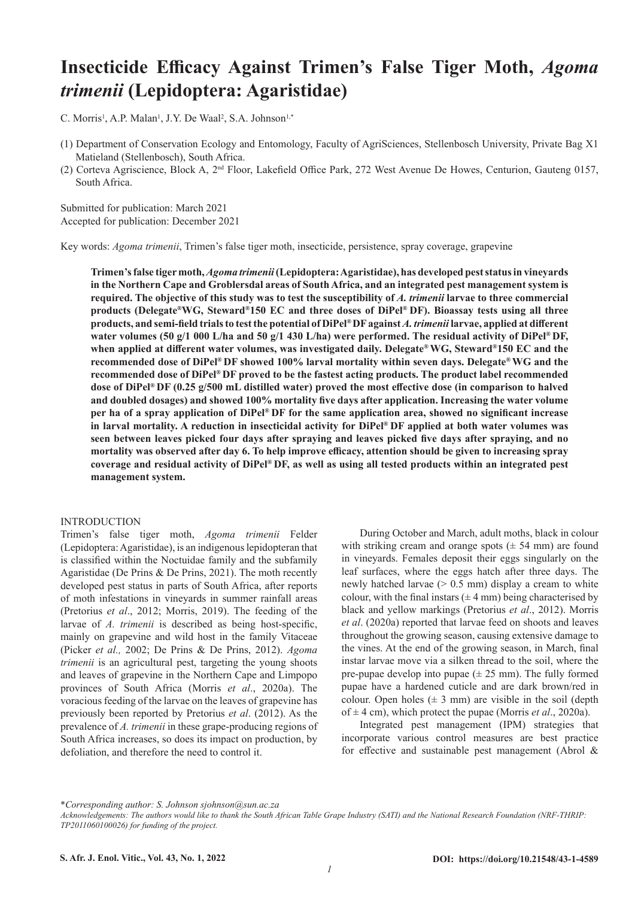# **Insecticide Efficacy Against Trimen's False Tiger Moth,** *Agoma trimenii* **(Lepidoptera: Agaristidae)**

C. Morris<sup>1</sup>, A.P. Malan<sup>1</sup>, J.Y. De Waal<sup>2</sup>, S.A. Johnson<sup>1,\*</sup>

- (1) Department of Conservation Ecology and Entomology, Faculty of AgriSciences, Stellenbosch University, Private Bag X1 Matieland (Stellenbosch), South Africa.
- (2) Corteva Agriscience, Block A, 2nd Floor, Lakefield Office Park, 272 West Avenue De Howes, Centurion, Gauteng 0157, South Africa.

Submitted for publication: March 2021 Accepted for publication: December 2021

Key words: *Agoma trimenii*, Trimen's false tiger moth, insecticide, persistence, spray coverage, grapevine

**Trimen's false tiger moth,** *Agoma trimenii* **(Lepidoptera: Agaristidae), has developed pest status in vineyards in the Northern Cape and Groblersdal areas of South Africa, and an integrated pest management system is required. The objective of this study was to test the susceptibility of** *A. trimenii* **larvae to three commercial products (Delegate®WG, Steward®150 EC and three doses of DiPel® DF). Bioassay tests using all three products, and semi-field trials to test the potential of DiPel® DF against** *A. trimenii* **larvae, applied at different water volumes (50 g/1 000 L/ha and 50 g/1 430 L/ha) were performed. The residual activity of DiPel® DF, when applied at different water volumes, was investigated daily. Delegate®WG, Steward®150 EC and the recommended dose of DiPel® DF showed 100% larval mortality within seven days. Delegate®WG and the recommended dose of DiPel® DF proved to be the fastest acting products. The product label recommended dose of DiPel® DF (0.25 g/500 mL distilled water) proved the most effective dose (in comparison to halved and doubled dosages) and showed 100% mortality five days after application. Increasing the water volume per ha of a spray application of DiPel® DF for the same application area, showed no significant increase in larval mortality. A reduction in insecticidal activity for DiPel® DF applied at both water volumes was seen between leaves picked four days after spraying and leaves picked five days after spraying, and no mortality was observed after day 6. To help improve efficacy, attention should be given to increasing spray coverage and residual activity of DiPel® DF, as well as using all tested products within an integrated pest management system.**

#### **INTRODUCTION**

Trimen's false tiger moth, *Agoma trimenii* Felder (Lepidoptera: Agaristidae), is an indigenous lepidopteran that is classified within the Noctuidae family and the subfamily Agaristidae (De Prins & De Prins, 2021). The moth recently developed pest status in parts of South Africa, after reports of moth infestations in vineyards in summer rainfall areas (Pretorius *et al*., 2012; Morris, 2019). The feeding of the larvae of *A. trimenii* is described as being host-specific, mainly on grapevine and wild host in the family Vitaceae (Picker *et al.,* 2002; De Prins & De Prins, 2012). *Agoma trimenii* is an agricultural pest, targeting the young shoots and leaves of grapevine in the Northern Cape and Limpopo provinces of South Africa (Morris *et al*., 2020a). The voracious feeding of the larvae on the leaves of grapevine has previously been reported by Pretorius *et al*. (2012). As the prevalence of *A. trimenii* in these grape-producing regions of South Africa increases, so does its impact on production, by defoliation, and therefore the need to control it.

During October and March, adult moths, black in colour with striking cream and orange spots  $(\pm 54 \text{ mm})$  are found in vineyards. Females deposit their eggs singularly on the leaf surfaces, where the eggs hatch after three days. The newly hatched larvae  $(> 0.5 \text{ mm})$  display a cream to white colour, with the final instars  $(\pm 4 \text{ mm})$  being characterised by black and yellow markings (Pretorius *et al*., 2012). Morris *et al*. (2020a) reported that larvae feed on shoots and leaves throughout the growing season, causing extensive damage to the vines. At the end of the growing season, in March, final instar larvae move via a silken thread to the soil, where the pre-pupae develop into pupae  $(\pm 25 \text{ mm})$ . The fully formed pupae have a hardened cuticle and are dark brown/red in colour. Open holes  $(\pm 3 \text{ mm})$  are visible in the soil (depth of ± 4 cm), which protect the pupae (Morris *et al*., 2020a).

Integrated pest management (IPM) strategies that incorporate various control measures are best practice for effective and sustainable pest management (Abrol &

\**Corresponding author: S. Johnson sjohnson@sun.ac.za*

*Acknowledgements: The authors would like to thank the South African Table Grape Industry (SATI) and the National Research Foundation (NRF-THRIP: TP2011060100026) for funding of the project.*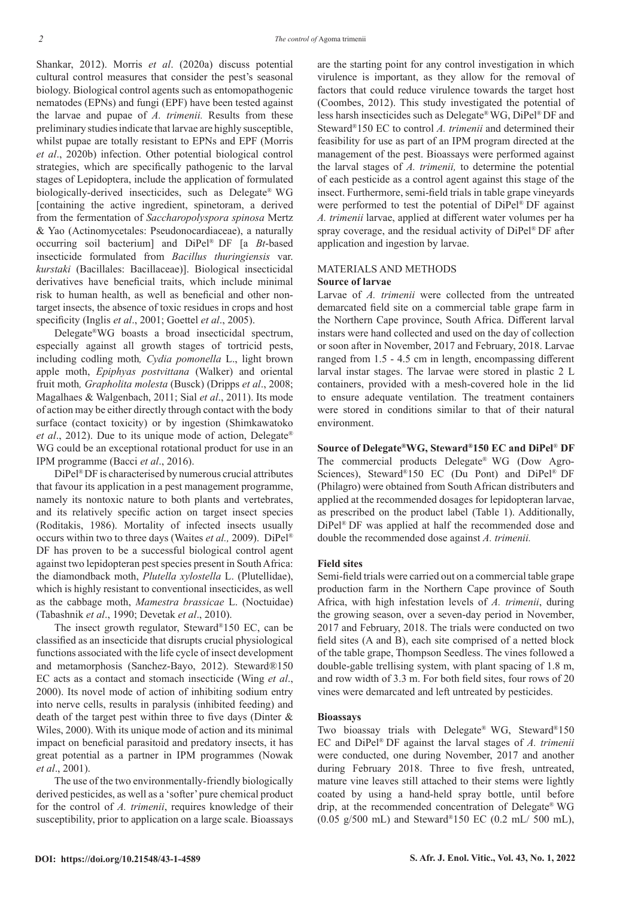Shankar, 2012). Morris *et al*. (2020a) discuss potential cultural control measures that consider the pest's seasonal biology. Biological control agents such as entomopathogenic nematodes (EPNs) and fungi (EPF) have been tested against the larvae and pupae of *A. trimenii.* Results from these preliminary studies indicate that larvae are highly susceptible, whilst pupae are totally resistant to EPNs and EPF (Morris *et al*., 2020b) infection. Other potential biological control strategies, which are specifically pathogenic to the larval stages of Lepidoptera, include the application of formulated biologically-derived insecticides, such as Delegate® WG [containing the active ingredient, spinetoram, a derived from the fermentation of *Saccharopolyspora spinosa* Mertz & Yao (Actinomycetales: Pseudonocardiaceae), a naturally occurring soil bacterium] and DiPel® DF [a *Bt*-based insecticide formulated from *Bacillus thuringiensis* var. *kurstaki* (Bacillales: Bacillaceae)]. Biological insecticidal derivatives have beneficial traits, which include minimal risk to human health, as well as beneficial and other nontarget insects, the absence of toxic residues in crops and host specificity (Inglis *et al*., 2001; Goettel *et al*., 2005).

Delegate®WG boasts a broad insecticidal spectrum, especially against all growth stages of tortricid pests, including codling moth*, Cydia pomonella* L., light brown apple moth, *Epiphyas postvittana* (Walker) and oriental fruit moth*, Grapholita molesta* (Busck) (Dripps *et al*., 2008; Magalhaes & Walgenbach, 2011; Sial *et al*., 2011). Its mode of action may be either directly through contact with the body surface (contact toxicity) or by ingestion (Shimkawatoko *et al*., 2012). Due to its unique mode of action, Delegate® WG could be an exceptional rotational product for use in an IPM programme (Bacci *et al*., 2016).

DiPel® DF is characterised by numerous crucial attributes that favour its application in a pest management programme, namely its nontoxic nature to both plants and vertebrates, and its relatively specific action on target insect species (Roditakis, 1986). Mortality of infected insects usually occurs within two to three days (Waites *et al.,* 2009). DiPel® DF has proven to be a successful biological control agent against two lepidopteran pest species present in South Africa: the diamondback moth, *Plutella xylostella* L. (Plutellidae), which is highly resistant to conventional insecticides, as well as the cabbage moth, *Mamestra brassicae* L. (Noctuidae) (Tabashnik *et al*., 1990; Devetak *et al*., 2010).

The insect growth regulator, Steward®150 EC, can be classified as an insecticide that disrupts crucial physiological functions associated with the life cycle of insect development and metamorphosis (Sanchez-Bayo, 2012). Steward®150 EC acts as a contact and stomach insecticide (Wing *et al*., 2000). Its novel mode of action of inhibiting sodium entry into nerve cells, results in paralysis (inhibited feeding) and death of the target pest within three to five days (Dinter & Wiles, 2000). With its unique mode of action and its minimal impact on beneficial parasitoid and predatory insects, it has great potential as a partner in IPM programmes (Nowak *et al*., 2001).

The use of the two environmentally-friendly biologically derived pesticides, as well as a 'softer' pure chemical product for the control of *A. trimenii*, requires knowledge of their susceptibility, prior to application on a large scale. Bioassays are the starting point for any control investigation in which virulence is important, as they allow for the removal of factors that could reduce virulence towards the target host (Coombes, 2012). This study investigated the potential of less harsh insecticides such as Delegate®WG, DiPel® DF and Steward®150 EC to control *A. trimenii* and determined their feasibility for use as part of an IPM program directed at the management of the pest. Bioassays were performed against the larval stages of *A. trimenii,* to determine the potential of each pesticide as a control agent against this stage of the insect. Furthermore, semi-field trials in table grape vineyards were performed to test the potential of DiPel® DF against *A. trimenii* larvae, applied at different water volumes per ha spray coverage, and the residual activity of DiPel® DF after application and ingestion by larvae.

## MATERIALS AND METHODS

#### **Source of larvae**

Larvae of *A. trimenii* were collected from the untreated demarcated field site on a commercial table grape farm in the Northern Cape province, South Africa. Different larval instars were hand collected and used on the day of collection or soon after in November, 2017 and February, 2018. Larvae ranged from 1.5 - 4.5 cm in length, encompassing different larval instar stages. The larvae were stored in plastic 2 L containers, provided with a mesh-covered hole in the lid to ensure adequate ventilation. The treatment containers were stored in conditions similar to that of their natural environment.

**Source of Delegate®WG, Steward®150 EC and DiPel**® **DF** The commercial products Delegate® WG (Dow Agro-Sciences), Steward®150 EC (Du Pont) and DiPel® DF (Philagro) were obtained from South African distributers and applied at the recommended dosages for lepidopteran larvae, as prescribed on the product label (Table 1). Additionally, DiPel® DF was applied at half the recommended dose and double the recommended dose against *A. trimenii.*

#### **Field sites**

Semi-field trials were carried out on a commercial table grape production farm in the Northern Cape province of South Africa, with high infestation levels of *A. trimenii*, during the growing season, over a seven-day period in November, 2017 and February, 2018. The trials were conducted on two field sites (A and B), each site comprised of a netted block of the table grape, Thompson Seedless. The vines followed a double-gable trellising system, with plant spacing of 1.8 m, and row width of 3.3 m. For both field sites, four rows of 20 vines were demarcated and left untreated by pesticides.

#### **Bioassays**

Two bioassay trials with Delegate® WG, Steward®150 EC and DiPel® DF against the larval stages of *A. trimenii* were conducted, one during November, 2017 and another during February 2018. Three to five fresh, untreated, mature vine leaves still attached to their stems were lightly coated by using a hand-held spray bottle, until before drip, at the recommended concentration of Delegate® WG (0.05 g/500 mL) and Steward®150 EC (0.2 mL/ 500 mL),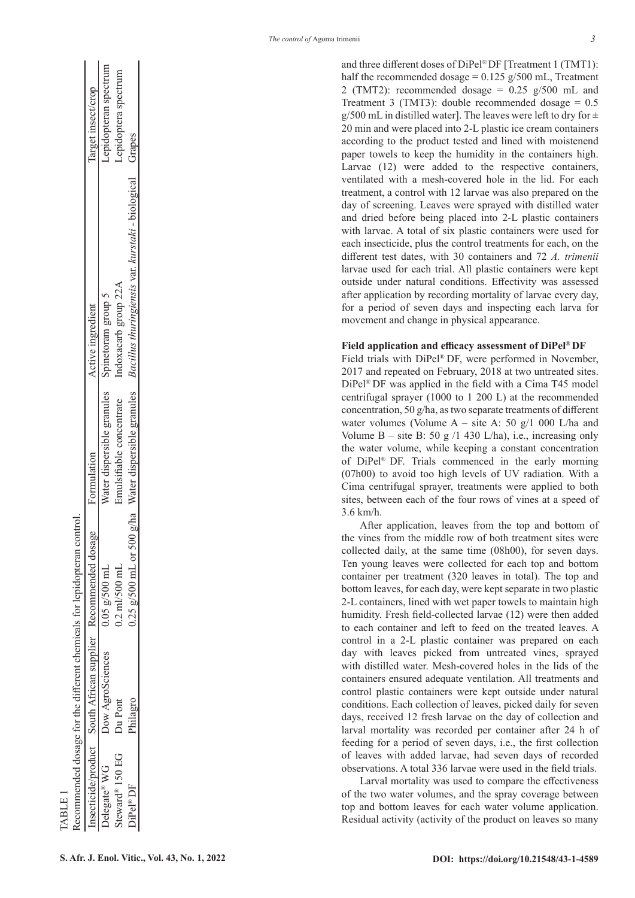|                             |                         | nsecticide/product South African supplier Recommended dosage Formulation |                                              | Active ingredient                                        | arget insect/crop     |
|-----------------------------|-------------------------|--------------------------------------------------------------------------|----------------------------------------------|----------------------------------------------------------|-----------------------|
| Delegate <sup>®</sup> WG    | <b>Jow AgroSciences</b> | $9.05$ g/500 mL                                                          | Vater dispersible granules                   | Spinetoram group 5                                       | Lepidopteran spectrum |
| steward <sup>®</sup> 150 EG | Du Pont                 | $0.2 \text{ ml} / 500 \text{ ml}$                                        | Emulsifiable concentrate                     | ndoxacarb group 22A                                      | Lepidoptera spectrum  |
| DiPel®DF                    | Philagro                | $0.25$ g/500 mL or 50                                                    | $00 \text{ g/ha}$ Water dispersible granules | Bacillus thuringiensis var. kurstaki - biological Grapes |                       |

**S.**  $\frac{1}{2}$ <br>  $\frac{1}{2}$ <br>  $\frac{1}{2}$ <br>  $\frac{1}{2}$ <br>  $\frac{1}{2}$ <br>  $\frac{1}{2}$ <br>  $\frac{1}{2}$ <br>  $\frac{1}{2}$ <br>  $\frac{1}{2}$ <br>  $\frac{1}{2}$ <br>  $\frac{1}{2}$ <br>  $\frac{1}{2}$ <br>  $\frac{1}{2}$ <br>  $\frac{1}{2}$ <br>  $\frac{1}{2}$ <br>  $\frac{1}{2}$ <br>  $\frac{1}{2}$ <br>  $\frac{1}{2}$ <br>  $\frac{1}{2}$ <br>  $\frac{1}{2$ and three different doses of DiPel ® DF [Treatment 1 (TMT1): half the recommended dosage =  $0.125$  g/500 mL, Treatment 2 (TMT2): recommended dosage =  $0.25$  g/500 mL and Treatment 3 (TMT3): double recommended dosage  $= 0.5$ g/500 mL in distilled water]. The leaves were left to dry for  $\pm$ 20 min and were placed into 2-L plastic ice cream containers according to the product tested and lined with moistenend paper towels to keep the humidity in the containers high. Larvae (12) were added to the respective containers, ventilated with a mesh-covered hole in the lid. For each treatment, a control with 12 larvae was also prepared on the day of screening. Leaves were sprayed with distilled water and dried before being placed into 2-L plastic containers with larvae. A total of six plastic containers were used for each insecticide, plus the control treatments for each, on the different test dates, with 30 containers and 72 *A. trimenii* larvae used for each trial. All plastic containers were kept outside under natural conditions. Effectivity was assessed after application by recording mortality of larvae every day, for a period of seven days and inspecting each larva for movement and change in physical appearance.

#### **Field application and efficacy assessment of DiPel ® DF**

Field trials with DiPel ® DF, were performed in November, 2017 and repeated on February, 2018 at two untreated sites. DiPel ® DF was applied in the field with a Cima T45 model centrifugal sprayer (1000 to 1 200 L) at the recommended concentration, 50 g/ha, as two separate treatments of different water volumes (Volume A – site A: 50 g/1 000 L/ha and Volume  $B - site B$ : 50 g /1 430 L/ha), i.e., increasing only the water volume, while keeping a constant concentration of DiPel ® DF. Trials commenced in the early morning (07h00) to avoid too high levels of UV radiation. With a Cima centrifugal sprayer, treatments were applied to both sites, between each of the four rows of vines at a speed of 3.6 km/h.

After application, leaves from the top and bottom of the vines from the middle row of both treatment sites were collected daily, at the same time (08h00), for seven days. Ten young leaves were collected for each top and bottom container per treatment (320 leaves in total). The top and bottom leaves, for each day, were kept separate in two plastic 2-L containers, lined with wet paper towels to maintain high humidity. Fresh field-collected larvae (12) were then added to each container and left to feed on the treated leaves. A control in a 2-L plastic container was prepared on each day with leaves picked from untreated vines, sprayed with distilled water. Mesh-covered holes in the lids of the containers ensured adequate ventilation. All treatments and control plastic containers were kept outside under natural conditions. Each collection of leaves, picked daily for seven days, received 12 fresh larvae on the day of collection and larval mortality was recorded per container after 24 h of feeding for a period of seven days, i.e., the first collection of leaves with added larvae, had seven days of recorded observations. A total 336 larvae were used in the field trials.

Larval mortality was used to compare the effectiveness of the two water volumes, and the spray coverage between top and bottom leaves for each water volume application. Residual activity (activity of the product on leaves so many

TABLE 1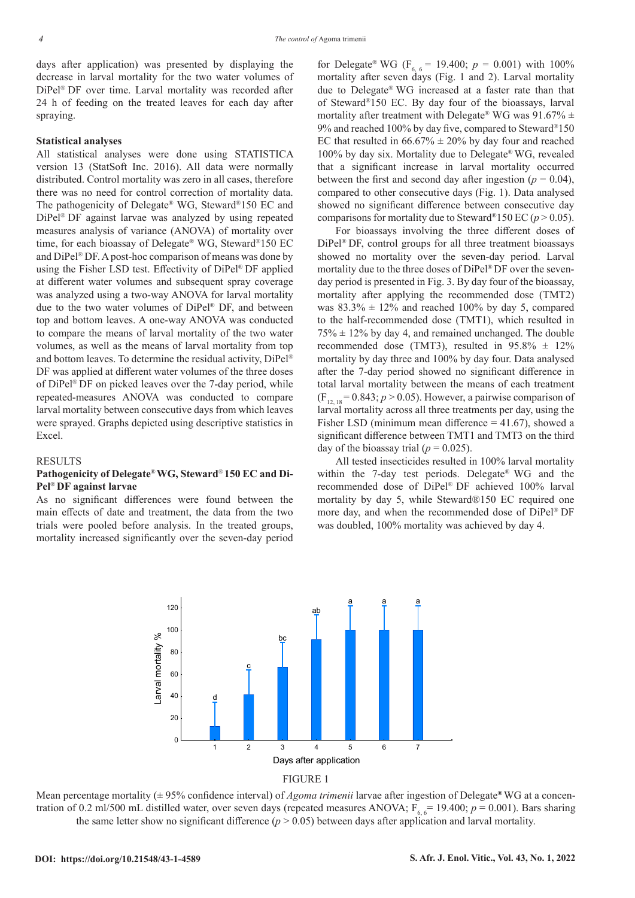days after application) was presented by displaying the decrease in larval mortality for the two water volumes of DiPel® DF over time. Larval mortality was recorded after 24 h of feeding on the treated leaves for each day after spraying.

#### **Statistical analyses**

All statistical analyses were done using STATISTICA version 13 (StatSoft Inc. 2016). All data were normally distributed. Control mortality was zero in all cases, therefore there was no need for control correction of mortality data. The pathogenicity of Delegate® WG, Steward®150 EC and DiPel® DF against larvae was analyzed by using repeated measures analysis of variance (ANOVA) of mortality over time, for each bioassay of Delegate® WG, Steward®150 EC and DiPel® DF. A post-hoc comparison of means was done by using the Fisher LSD test. Effectivity of DiPel® DF applied at different water volumes and subsequent spray coverage was analyzed using a two-way ANOVA for larval mortality due to the two water volumes of DiPel® DF, and between top and bottom leaves. A one-way ANOVA was conducted to compare the means of larval mortality of the two water volumes, as well as the means of larval mortality from top and bottom leaves. To determine the residual activity, DiPel® DF was applied at different water volumes of the three doses of DiPel® DF on picked leaves over the 7-day period, while repeated-measures ANOVA was conducted to compare larval mortality between consecutive days from which leaves were sprayed. Graphs depicted using descriptive statistics in Excel.

#### RESULTS

## **Pathogenicity of Delegate**®**WG, Steward**® **150 EC and Di-Pel**® **DF against larvae**

As no significant differences were found between the main effects of date and treatment, the data from the two trials were pooled before analysis. In the treated groups, mortality increased significantly over the seven-day period

for Delegate<sup>®</sup> WG ( $F_{6, 6}$  = 19.400;  $p = 0.001$ ) with 100% mortality after seven days (Fig. 1 and 2). Larval mortality due to Delegate® WG increased at a faster rate than that of Steward®150 EC. By day four of the bioassays, larval mortality after treatment with Delegate® WG was  $91.67\% \pm$ 9% and reached 100% by day five, compared to Steward®150 EC that resulted in  $66.67\% \pm 20\%$  by day four and reached 100% by day six. Mortality due to Delegate® WG, revealed that a significant increase in larval mortality occurred between the first and second day after ingestion ( $p = 0.04$ ), compared to other consecutive days (Fig. 1). Data analysed showed no significant difference between consecutive day comparisons for mortality due to Steward<sup>®</sup>150 EC ( $p > 0.05$ ).

*The control of* Agoma trimenii

For bioassays involving the three different doses of DiPel® DF, control groups for all three treatment bioassays showed no mortality over the seven-day period. Larval mortality due to the three doses of DiPel® DF over the sevenday period is presented in Fig. 3. By day four of the bioassay, mortality after applying the recommended dose (TMT2) was  $83.3\% \pm 12\%$  and reached 100% by day 5, compared to the half-recommended dose (TMT1), which resulted in  $75\% \pm 12\%$  by day 4, and remained unchanged. The double recommended dose (TMT3), resulted in  $95.8\% \pm 12\%$ mortality by day three and 100% by day four. Data analysed after the 7-day period showed no significant difference in total larval mortality between the means of each treatment  $(F_{12, 18} = 0.843; p > 0.05)$ . However, a pairwise comparison of larval mortality across all three treatments per day, using the Fisher LSD (minimum mean difference  $= 41.67$ ), showed a significant difference between TMT1 and TMT3 on the third day of the bioassay trial ( $p = 0.025$ ).

All tested insecticides resulted in 100% larval mortality within the 7-day test periods. Delegate® WG and the recommended dose of DiPel® DF achieved 100% larval mortality by day 5, while Steward®150 EC required one more day, and when the recommended dose of DiPel® DF was doubled, 100% mortality was achieved by day 4.





Mean percentage mortality (± 95% confidence interval) of *Agoma trimenii* larvae after ingestion of Delegate**®** WG at a concentration of 0.2 ml/500 mL distilled water, over seven days (repeated measures ANOVA;  $F_{6, 6}$  = 19.400;  $p = 0.001$ ). Bars sharing the same letter show no significant difference  $(p > 0.05)$  between days after application and larval mortality.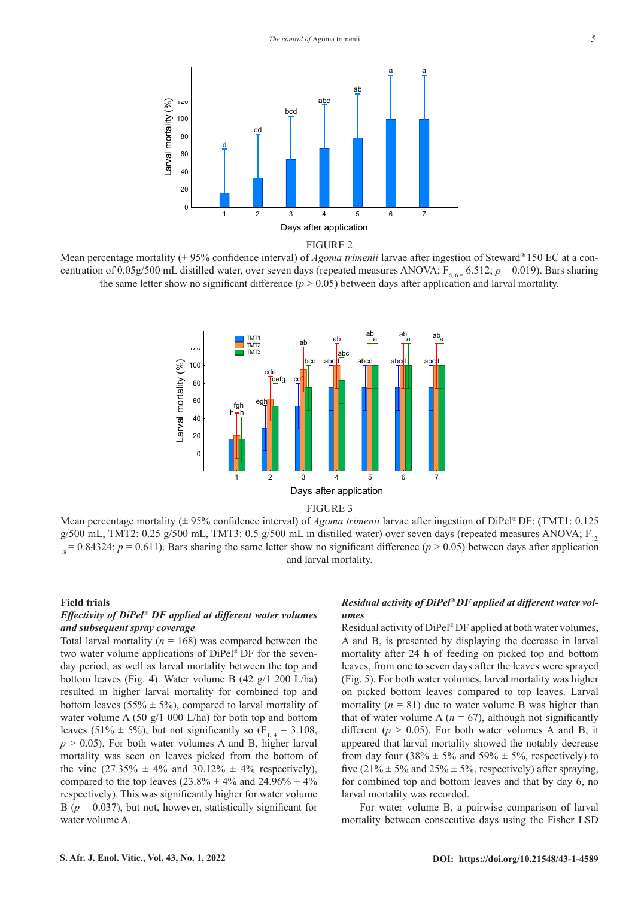

FIGURE 2

Mean percentage mortality (± 95% confidence interval) of *Agoma trimenii* larvae after ingestion of Steward**®** 150 EC at a concentration of 0.05g/500 mL distilled water, over seven days (repeated measures ANOVA;  $F_{6, 6} = 6.512$ ;  $p = 0.019$ ). Bars sharing the same letter show no significant difference  $(p > 0.05)$  between days after application and larval mortality.



Mean percentage mortality (± 95% confidence interval) of *Agoma trimenii* larvae after ingestion of DiPel**®** DF: (TMT1: 0.125 g/500 mL, TMT2: 0.25 g/500 mL, TMT3: 0.5 g/500 mL in distilled water) over seven days (repeated measures ANOVA;  $F_{12}$  $1.8 = 0.84324$ ;  $p = 0.611$ ). Bars sharing the same letter show no significant difference ( $p > 0.05$ ) between days after application and larval mortality.

## **Field trials**

## *Effectivity of DiPel*® *DF applied at different water volumes and subsequent spray coverage*

Total larval mortality ( $n = 168$ ) was compared between the two water volume applications of DiPel® DF for the sevenday period, as well as larval mortality between the top and bottom leaves (Fig. 4). Water volume B (42 g/1 200 L/ha) resulted in higher larval mortality for combined top and bottom leaves (55%  $\pm$  5%), compared to larval mortality of water volume A (50 g/1 000 L/ha) for both top and bottom leaves (51%  $\pm$  5%), but not significantly so (F<sub>1, 4</sub> = 3.108,  $p > 0.05$ ). For both water volumes A and B, higher larval mortality was seen on leaves picked from the bottom of the vine  $(27.35\% \pm 4\% \text{ and } 30.12\% \pm 4\% \text{ respectively})$ , compared to the top leaves  $(23.8\% \pm 4\% \text{ and } 24.96\% \pm 4\% \text{)}$ respectively). This was significantly higher for water volume B ( $p = 0.037$ ), but not, however, statistically significant for water volume A.

# *Residual activity of DiPel® DF applied at different water volumes*

Residual activity of DiPel® DF applied at both water volumes, A and B, is presented by displaying the decrease in larval mortality after 24 h of feeding on picked top and bottom leaves, from one to seven days after the leaves were sprayed (Fig. 5). For both water volumes, larval mortality was higher on picked bottom leaves compared to top leaves. Larval mortality  $(n = 81)$  due to water volume B was higher than that of water volume A  $(n = 67)$ , although not significantly different ( $p > 0.05$ ). For both water volumes A and B, it appeared that larval mortality showed the notably decrease from day four (38%  $\pm$  5% and 59%  $\pm$  5%, respectively) to five (21%  $\pm$  5% and 25%  $\pm$  5%, respectively) after spraying, for combined top and bottom leaves and that by day 6, no larval mortality was recorded.

For water volume B, a pairwise comparison of larval mortality between consecutive days using the Fisher LSD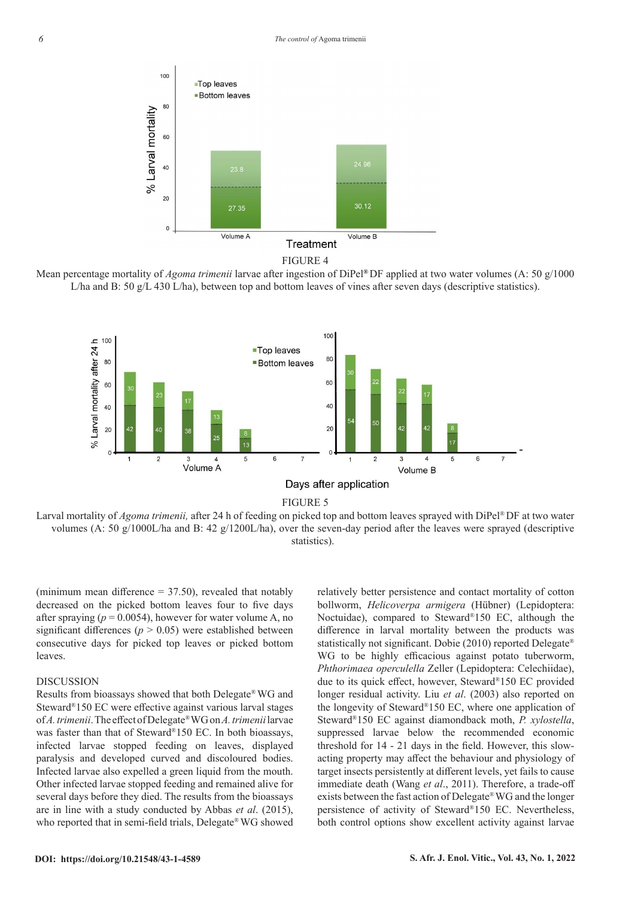

Mean percentage mortality of *Agoma trimenii* larvae after ingestion of DiPel**®** DF applied at two water volumes (A: 50 g/1000 L/ha and B: 50 g/L 430 L/ha), between top and bottom leaves of vines after seven days (descriptive statistics).



Larval mortality of *Agoma trimenii*, after 24 h of feeding on picked top and bottom leaves sprayed with DiPel® DF at two water volumes (A: 50 g/1000L/ha and B: 42 g/1200L/ha), over the seven-day period after the leaves were sprayed (descriptive statistics).

(minimum mean difference  $=$  37.50), revealed that notably decreased on the picked bottom leaves four to five days after spraying  $(p = 0.0054)$ , however for water volume A, no significant differences ( $p > 0.05$ ) were established between consecutive days for picked top leaves or picked bottom leaves.

## DISCUSSION

Results from bioassays showed that both Delegate®WG and Steward®150 EC were effective against various larval stages of *A. trimenii*. The effect of Delegate®WG on *A. trimenii* larvae was faster than that of Steward®150 EC. In both bioassays, infected larvae stopped feeding on leaves, displayed paralysis and developed curved and discoloured bodies. Infected larvae also expelled a green liquid from the mouth. Other infected larvae stopped feeding and remained alive for several days before they died. The results from the bioassays are in line with a study conducted by Abbas *et al*. (2015), who reported that in semi-field trials, Delegate® WG showed

relatively better persistence and contact mortality of cotton bollworm, *Helicoverpa armigera* (Hübner) (Lepidoptera: Noctuidae), compared to Steward®150 EC, although the difference in larval mortality between the products was statistically not significant. Dobie (2010) reported Delegate® WG to be highly efficacious against potato tuberworm, *Phthorimaea operculella* Zeller (Lepidoptera: Celechiidae), due to its quick effect, however, Steward®150 EC provided longer residual activity. Liu *et al*. (2003) also reported on the longevity of Steward®150 EC, where one application of Steward®150 EC against diamondback moth, *P. xylostella*, suppressed larvae below the recommended economic threshold for 14 - 21 days in the field. However, this slowacting property may affect the behaviour and physiology of target insects persistently at different levels, yet fails to cause immediate death (Wang *et al*., 2011). Therefore, a trade-off exists between the fast action of Delegate®WG and the longer persistence of activity of Steward®150 EC. Nevertheless, both control options show excellent activity against larvae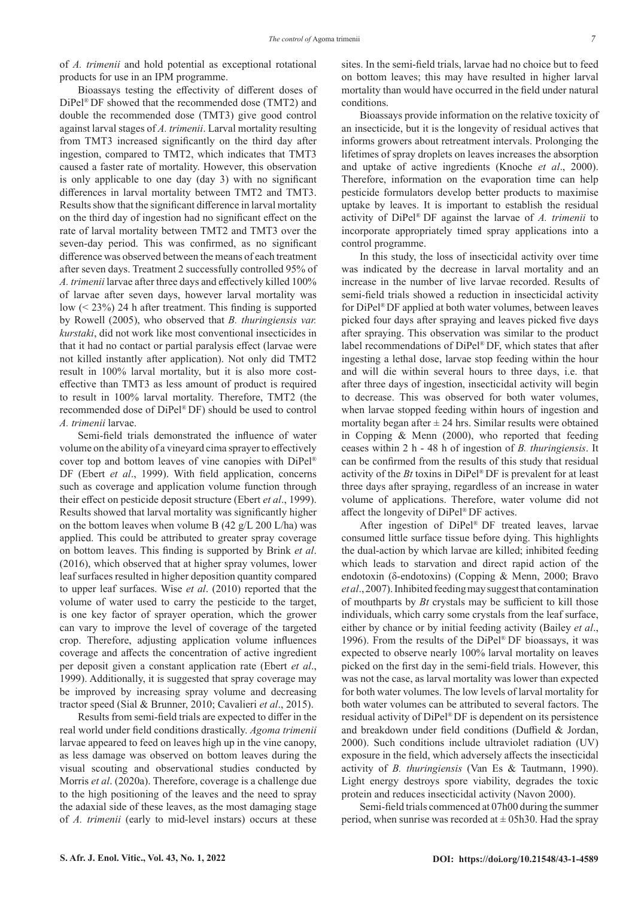of *A. trimenii* and hold potential as exceptional rotational products for use in an IPM programme.

Bioassays testing the effectivity of different doses of DiPel® DF showed that the recommended dose (TMT2) and double the recommended dose (TMT3) give good control against larval stages of *A. trimenii*. Larval mortality resulting from TMT3 increased significantly on the third day after ingestion, compared to TMT2, which indicates that TMT3 caused a faster rate of mortality. However, this observation is only applicable to one day (day 3) with no significant differences in larval mortality between TMT2 and TMT3. Results show that the significant difference in larval mortality on the third day of ingestion had no significant effect on the rate of larval mortality between TMT2 and TMT3 over the seven-day period. This was confirmed, as no significant difference was observed between the means of each treatment after seven days. Treatment 2 successfully controlled 95% of *A. trimenii* larvae after three days and effectively killed 100% of larvae after seven days, however larval mortality was low (< 23%) 24 h after treatment. This finding is supported by Rowell (2005), who observed that *B. thuringiensis var. kurstaki*, did not work like most conventional insecticides in that it had no contact or partial paralysis effect (larvae were not killed instantly after application). Not only did TMT2 result in 100% larval mortality, but it is also more costeffective than TMT3 as less amount of product is required to result in 100% larval mortality. Therefore, TMT2 (the recommended dose of DiPel® DF) should be used to control *A. trimenii* larvae.

Semi-field trials demonstrated the influence of water volume on the ability of a vineyard cima sprayer to effectively cover top and bottom leaves of vine canopies with DiPel® DF (Ebert *et al*., 1999). With field application, concerns such as coverage and application volume function through their effect on pesticide deposit structure (Ebert *et al*., 1999). Results showed that larval mortality was significantly higher on the bottom leaves when volume B (42 g/L 200 L/ha) was applied. This could be attributed to greater spray coverage on bottom leaves. This finding is supported by Brink *et al*. (2016), which observed that at higher spray volumes, lower leaf surfaces resulted in higher deposition quantity compared to upper leaf surfaces. Wise *et al*. (2010) reported that the volume of water used to carry the pesticide to the target, is one key factor of sprayer operation, which the grower can vary to improve the level of coverage of the targeted crop. Therefore, adjusting application volume influences coverage and affects the concentration of active ingredient per deposit given a constant application rate (Ebert *et al*., 1999). Additionally, it is suggested that spray coverage may be improved by increasing spray volume and decreasing tractor speed (Sial & Brunner, 2010; Cavalieri *et al*., 2015).

Results from semi-field trials are expected to differ in the real world under field conditions drastically. *Agoma trimenii* larvae appeared to feed on leaves high up in the vine canopy, as less damage was observed on bottom leaves during the visual scouting and observational studies conducted by Morris *et al*. (2020a). Therefore, coverage is a challenge due to the high positioning of the leaves and the need to spray the adaxial side of these leaves, as the most damaging stage of *A. trimenii* (early to mid-level instars) occurs at these sites. In the semi-field trials, larvae had no choice but to feed on bottom leaves; this may have resulted in higher larval mortality than would have occurred in the field under natural conditions.

Bioassays provide information on the relative toxicity of an insecticide, but it is the longevity of residual actives that informs growers about retreatment intervals. Prolonging the lifetimes of spray droplets on leaves increases the absorption and uptake of active ingredients (Knoche *et al*., 2000). Therefore, information on the evaporation time can help pesticide formulators develop better products to maximise uptake by leaves. It is important to establish the residual activity of DiPel® DF against the larvae of *A. trimenii* to incorporate appropriately timed spray applications into a control programme.

In this study, the loss of insecticidal activity over time was indicated by the decrease in larval mortality and an increase in the number of live larvae recorded. Results of semi-field trials showed a reduction in insecticidal activity for DiPel® DF applied at both water volumes, between leaves picked four days after spraying and leaves picked five days after spraying. This observation was similar to the product label recommendations of DiPel® DF, which states that after ingesting a lethal dose, larvae stop feeding within the hour and will die within several hours to three days, i.e. that after three days of ingestion, insecticidal activity will begin to decrease. This was observed for both water volumes, when larvae stopped feeding within hours of ingestion and mortality began after  $\pm 24$  hrs. Similar results were obtained in Copping & Menn (2000), who reported that feeding ceases within 2 h - 48 h of ingestion of *B. thuringiensis*. It can be confirmed from the results of this study that residual activity of the *Bt* toxins in DiPel® DF is prevalent for at least three days after spraying, regardless of an increase in water volume of applications. Therefore, water volume did not affect the longevity of DiPel® DF actives.

After ingestion of DiPel® DF treated leaves, larvae consumed little surface tissue before dying. This highlights the dual-action by which larvae are killed; inhibited feeding which leads to starvation and direct rapid action of the endotoxin (δ-endotoxins) (Copping & Menn, 2000; Bravo *et al*., 2007). Inhibited feeding may suggest that contamination of mouthparts by *Bt* crystals may be sufficient to kill those individuals, which carry some crystals from the leaf surface, either by chance or by initial feeding activity (Bailey *et al*., 1996). From the results of the DiPel® DF bioassays, it was expected to observe nearly 100% larval mortality on leaves picked on the first day in the semi-field trials. However, this was not the case, as larval mortality was lower than expected for both water volumes. The low levels of larval mortality for both water volumes can be attributed to several factors. The residual activity of DiPel® DF is dependent on its persistence and breakdown under field conditions (Duffield & Jordan, 2000). Such conditions include ultraviolet radiation (UV) exposure in the field, which adversely affects the insecticidal activity of *B. thuringiensis* (Van Es & Tautmann, 1990). Light energy destroys spore viability, degrades the toxic protein and reduces insecticidal activity (Navon 2000).

Semi-field trials commenced at 07h00 during the summer period, when sunrise was recorded at  $\pm$  05h30. Had the spray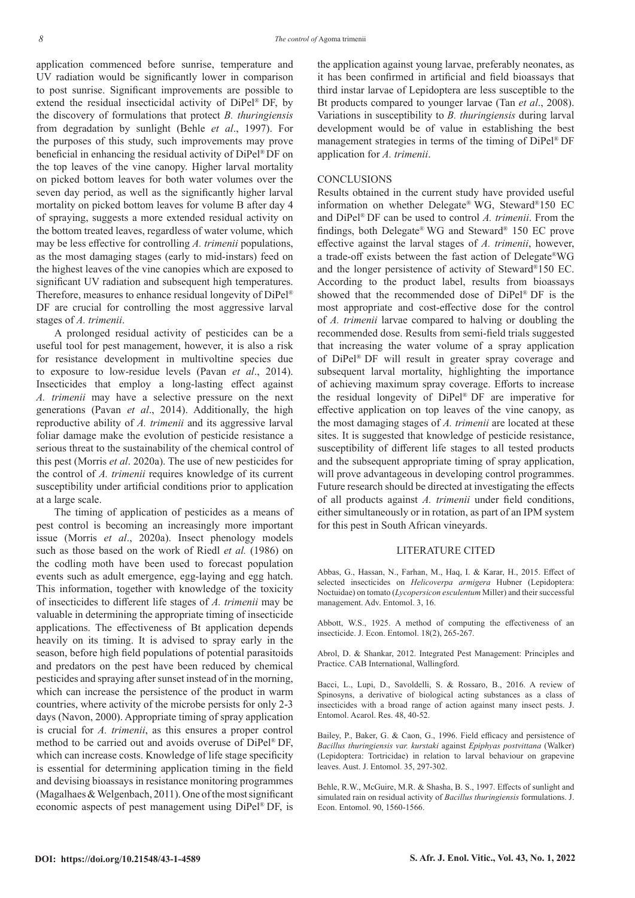application commenced before sunrise, temperature and UV radiation would be significantly lower in comparison to post sunrise. Significant improvements are possible to extend the residual insecticidal activity of DiPel® DF, by the discovery of formulations that protect *B. thuringiensis* from degradation by sunlight (Behle *et al*., 1997). For the purposes of this study, such improvements may prove beneficial in enhancing the residual activity of DiPel® DF on the top leaves of the vine canopy. Higher larval mortality on picked bottom leaves for both water volumes over the seven day period, as well as the significantly higher larval mortality on picked bottom leaves for volume B after day 4 of spraying, suggests a more extended residual activity on the bottom treated leaves, regardless of water volume, which may be less effective for controlling *A. trimenii* populations, as the most damaging stages (early to mid-instars) feed on the highest leaves of the vine canopies which are exposed to significant UV radiation and subsequent high temperatures. Therefore, measures to enhance residual longevity of DiPel® DF are crucial for controlling the most aggressive larval stages of *A. trimenii*.

A prolonged residual activity of pesticides can be a useful tool for pest management, however, it is also a risk for resistance development in multivoltine species due to exposure to low-residue levels (Pavan *et al*., 2014). Insecticides that employ a long-lasting effect against *A. trimenii* may have a selective pressure on the next generations (Pavan *et al*., 2014). Additionally, the high reproductive ability of *A. trimenii* and its aggressive larval foliar damage make the evolution of pesticide resistance a serious threat to the sustainability of the chemical control of this pest (Morris *et al*. 2020a). The use of new pesticides for the control of *A. trimenii* requires knowledge of its current susceptibility under artificial conditions prior to application at a large scale.

The timing of application of pesticides as a means of pest control is becoming an increasingly more important issue (Morris *et al*., 2020a). Insect phenology models such as those based on the work of Riedl *et al.* (1986) on the codling moth have been used to forecast population events such as adult emergence, egg-laying and egg hatch. This information, together with knowledge of the toxicity of insecticides to different life stages of *A. trimenii* may be valuable in determining the appropriate timing of insecticide applications. The effectiveness of Bt application depends heavily on its timing. It is advised to spray early in the season, before high field populations of potential parasitoids and predators on the pest have been reduced by chemical pesticides and spraying after sunset instead of in the morning, which can increase the persistence of the product in warm countries, where activity of the microbe persists for only 2-3 days (Navon, 2000). Appropriate timing of spray application is crucial for *A. trimenii*, as this ensures a proper control method to be carried out and avoids overuse of DiPel® DF, which can increase costs. Knowledge of life stage specificity is essential for determining application timing in the field and devising bioassays in resistance monitoring programmes (Magalhaes & Welgenbach, 2011). One of the most significant economic aspects of pest management using DiPel® DF, is

the application against young larvae, preferably neonates, as it has been confirmed in artificial and field bioassays that third instar larvae of Lepidoptera are less susceptible to the Bt products compared to younger larvae (Tan *et al*., 2008). Variations in susceptibility to *B. thuringiensis* during larval development would be of value in establishing the best management strategies in terms of the timing of DiPel® DF application for *A. trimenii*.

#### **CONCLUSIONS**

Results obtained in the current study have provided useful information on whether Delegate® WG, Steward®150 EC and DiPel® DF can be used to control *A. trimenii*. From the findings, both Delegate® WG and Steward® 150 EC prove effective against the larval stages of *A. trimenii*, however, a trade-off exists between the fast action of Delegate®WG and the longer persistence of activity of Steward®150 EC. According to the product label, results from bioassays showed that the recommended dose of DiPel® DF is the most appropriate and cost-effective dose for the control of *A. trimenii* larvae compared to halving or doubling the recommended dose. Results from semi-field trials suggested that increasing the water volume of a spray application of DiPel® DF will result in greater spray coverage and subsequent larval mortality, highlighting the importance of achieving maximum spray coverage. Efforts to increase the residual longevity of DiPel® DF are imperative for effective application on top leaves of the vine canopy, as the most damaging stages of *A. trimenii* are located at these sites. It is suggested that knowledge of pesticide resistance, susceptibility of different life stages to all tested products and the subsequent appropriate timing of spray application, will prove advantageous in developing control programmes. Future research should be directed at investigating the effects of all products against *A. trimenii* under field conditions, either simultaneously or in rotation, as part of an IPM system for this pest in South African vineyards.

#### LITERATURE CITED

Abbas, G., Hassan, N., Farhan, M., Haq, I. & Karar, H., 2015. Effect of selected insecticides on *Helicoverpa armigera* Hubner (Lepidoptera: Noctuidae) on tomato (*Lycopersicon esculentum* Miller) and their successful management. Adv. Entomol. 3, 16.

Abbott, W.S., 1925. A method of computing the effectiveness of an insecticide. J. Econ. Entomol. 18(2), 265-267.

Abrol, D. & Shankar, 2012. Integrated Pest Management: Principles and Practice. CAB International, Wallingford.

Bacci, L., Lupi, D., Savoldelli, S. & Rossaro, B., 2016. A review of Spinosyns, a derivative of biological acting substances as a class of insecticides with a broad range of action against many insect pests. J. Entomol. Acarol. Res. 48, 40-52.

Bailey, P., Baker, G. & Caon, G., 1996. Field efficacy and persistence of *Bacillus thuringiensis var. kurstaki* against *Epiphyas postvittana* (Walker) (Lepidoptera: Tortricidae) in relation to larval behaviour on grapevine leaves. Aust. J. Entomol. 35, 297-302.

Behle, R.W., McGuire, M.R. & Shasha, B. S., 1997. Effects of sunlight and simulated rain on residual activity of *Bacillus thuringiensis* formulations. J. Econ. Entomol. 90, 1560-1566.